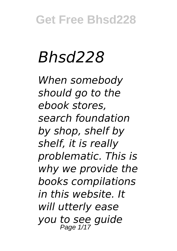# *Bhsd228*

*When somebody should go to the ebook stores, search foundation by shop, shelf by shelf, it is really problematic. This is why we provide the books compilations in this website. It will utterly ease you to see guide*  Page 1/17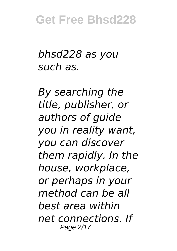*bhsd228 as you such as.*

*By searching the title, publisher, or authors of guide you in reality want, you can discover them rapidly. In the house, workplace, or perhaps in your method can be all best area within net connections. If* Page 2/17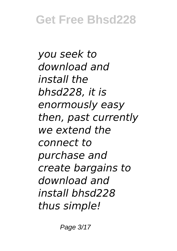*you seek to download and install the bhsd228, it is enormously easy then, past currently we extend the connect to purchase and create bargains to download and install bhsd228 thus simple!*

Page 3/17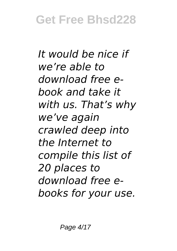*It would be nice if we're able to download free ebook and take it with us. That's why we've again crawled deep into the Internet to compile this list of 20 places to download free ebooks for your use.*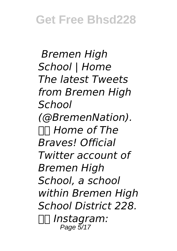*Bremen High School | Home The latest Tweets from Bremen High School (@BremenNation). Home of The Braves! Official Twitter account of Bremen High School, a school within Bremen High School District 228. Instagram:* Page 5/17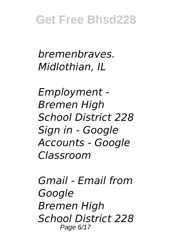#### *bremenbraves. Midlothian, IL*

*Employment - Bremen High School District 228 Sign in - Google Accounts - Google Classroom*

*Gmail - Email from Google Bremen High School District 228* Page 6/17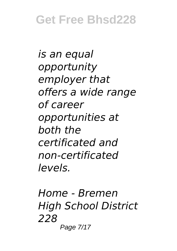*is an equal opportunity employer that offers a wide range of career opportunities at both the certificated and non-certificated levels.*

*Home - Bremen High School District 228* Page 7/17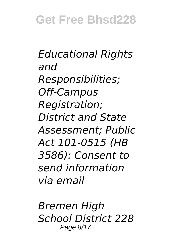*Educational Rights and Responsibilities; Off-Campus Registration; District and State Assessment; Public Act 101-0515 (HB 3586): Consent to send information via email*

*Bremen High School District 228* Page 8/17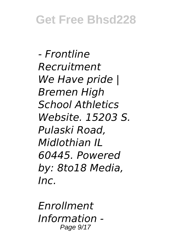*- Frontline Recruitment We Have pride | Bremen High School Athletics Website. 15203 S. Pulaski Road, Midlothian IL 60445. Powered by: 8to18 Media, Inc.*

*Enrollment Information -* Page 9/17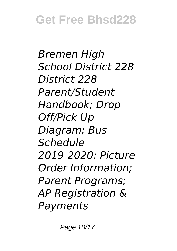*Bremen High School District 228 District 228 Parent/Student Handbook; Drop Off/Pick Up Diagram; Bus Schedule 2019-2020; Picture Order Information; Parent Programs; AP Registration & Payments*

Page 10/17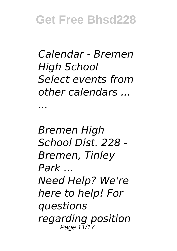*Calendar - Bremen High School Select events from other calendars ...*

*...*

*Bremen High School Dist. 228 - Bremen, Tinley Park ... Need Help? We're here to help! For questions regarding position* Page 11/17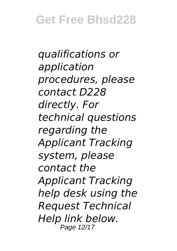*qualifications or application procedures, please contact D228 directly. For technical questions regarding the Applicant Tracking system, please contact the Applicant Tracking help desk using the Request Technical Help link below.* Page 12/17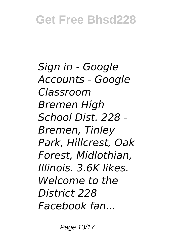*Sign in - Google Accounts - Google Classroom Bremen High School Dist. 228 - Bremen, Tinley Park, Hillcrest, Oak Forest, Midlothian, Illinois. 3.6K likes. Welcome to the District 228 Facebook fan...*

Page 13/17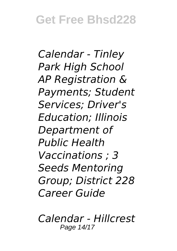*Calendar - Tinley Park High School AP Registration & Payments; Student Services; Driver's Education; Illinois Department of Public Health Vaccinations ; 3 Seeds Mentoring Group; District 228 Career Guide*

*Calendar - Hillcrest* Page 14/17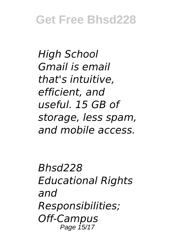*High School Gmail is email that's intuitive, efficient, and useful. 15 GB of storage, less spam, and mobile access.*

*Bhsd228 Educational Rights and Responsibilities; Off-Campus* Page 15/17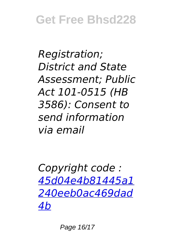*Registration; District and State Assessment; Public Act 101-0515 (HB 3586): Consent to send information via email*

*Copyright code : [45d04e4b81445a1](/search-book/45d04e4b81445a1240eeb0ac469dad4b) [240eeb0ac469dad](/search-book/45d04e4b81445a1240eeb0ac469dad4b) [4b](/search-book/45d04e4b81445a1240eeb0ac469dad4b)*

Page 16/17